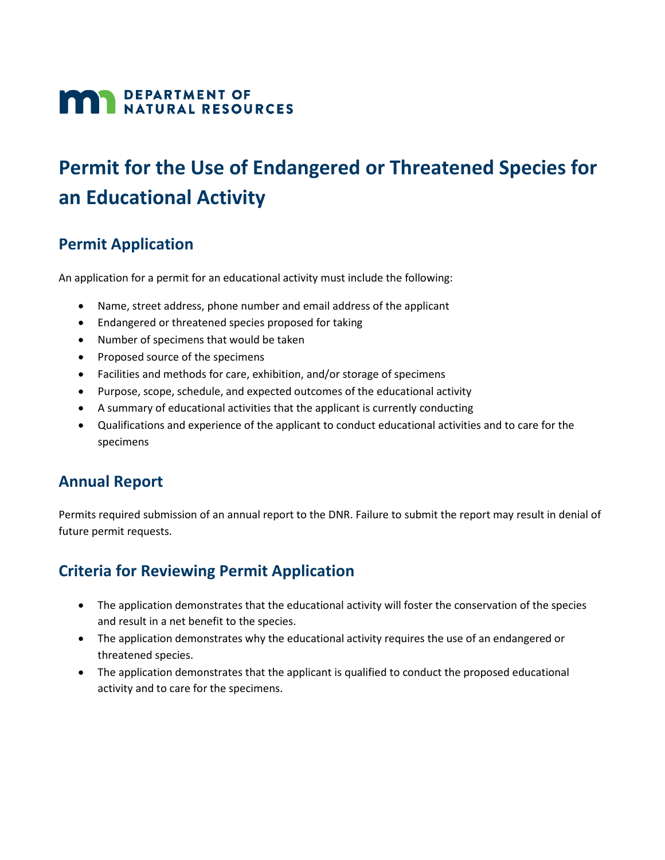# **MAN DEPARTMENT OF NATURAL RESOURCES**

# **Permit for the Use of Endangered or Threatened Species for an Educational Activity**

#### **Permit Application**

An application for a permit for an educational activity must include the following:

- Name, street address, phone number and email address of the applicant
- Endangered or threatened species proposed for taking
- Number of specimens that would be taken
- Proposed source of the specimens
- Facilities and methods for care, exhibition, and/or storage of specimens
- Purpose, scope, schedule, and expected outcomes of the educational activity
- A summary of educational activities that the applicant is currently conducting
- Qualifications and experience of the applicant to conduct educational activities and to care for the specimens

#### **Annual Report**

Permits required submission of an annual report to the DNR. Failure to submit the report may result in denial of future permit requests.

### **Criteria for Reviewing Permit Application**

- The application demonstrates that the educational activity will foster the conservation of the species and result in a net benefit to the species.
- The application demonstrates why the educational activity requires the use of an endangered or threatened species.
- The application demonstrates that the applicant is qualified to conduct the proposed educational activity and to care for the specimens.